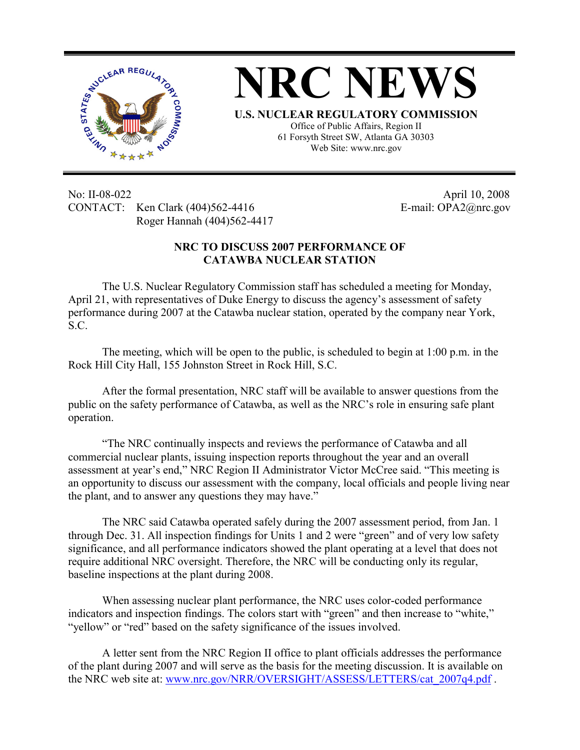



**U.S. NUCLEAR REGULATORY COMMISSION** Office of Public Affairs, Region II 61 Forsyth Street SW, Atlanta GA 30303 Web Site: www.nrc.gov

No: II-08-022 April 10, 2008 CONTACT: Ken Clark (404)562-4416 E-mail: OPA2@nrc.gov Roger Hannah (404)562-4417

## **NRC TO DISCUSS 2007 PERFORMANCE OF CATAWBA NUCLEAR STATION**

The U.S. Nuclear Regulatory Commission staff has scheduled a meeting for Monday, April 21, with representatives of Duke Energy to discuss the agency's assessment of safety performance during 2007 at the Catawba nuclear station, operated by the company near York, S.C.

The meeting, which will be open to the public, is scheduled to begin at 1:00 p.m. in the Rock Hill City Hall, 155 Johnston Street in Rock Hill, S.C.

After the formal presentation, NRC staff will be available to answer questions from the public on the safety performance of Catawba, as well as the NRC's role in ensuring safe plant operation.

"The NRC continually inspects and reviews the performance of Catawba and all commercial nuclear plants, issuing inspection reports throughout the year and an overall assessment at year's end," NRC Region II Administrator Victor McCree said. "This meeting is an opportunity to discuss our assessment with the company, local officials and people living near the plant, and to answer any questions they may have."

The NRC said Catawba operated safely during the 2007 assessment period, from Jan. 1 through Dec. 31. All inspection findings for Units 1 and 2 were "green" and of very low safety significance, and all performance indicators showed the plant operating at a level that does not require additional NRC oversight. Therefore, the NRC will be conducting only its regular, baseline inspections at the plant during 2008.

When assessing nuclear plant performance, the NRC uses color-coded performance indicators and inspection findings. The colors start with "green" and then increase to "white," "yellow" or "red" based on the safety significance of the issues involved.

A letter sent from the NRC Region II office to plant officials addresses the performance of the plant during 2007 and will serve as the basis for the meeting discussion. It is available on the NRC web site at: www.nrc.gov/NRR/OVERSIGHT/ASSESS/LETTERS/cat\_2007q4.pdf.